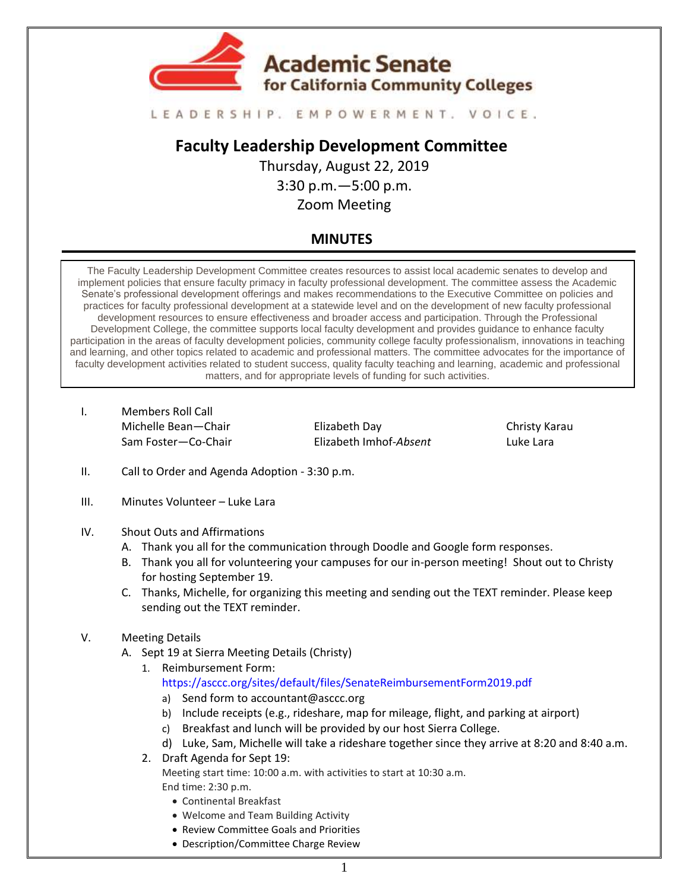

#### LEADERSHIP, EMPOWERMENT, VOICE,

# **Faculty Leadership Development Committee**

Thursday, August 22, 2019 3:30 p.m.—5:00 p.m. Zoom Meeting

## **MINUTES**

The Faculty Leadership Development Committee creates resources to assist local academic senates to develop and implement policies that ensure faculty primacy in faculty professional development. The committee assess the Academic Senate's professional development offerings and makes recommendations to the Executive Committee on policies and practices for faculty professional development at a statewide level and on the development of new faculty professional development resources to ensure effectiveness and broader access and participation. Through the Professional Development College, the committee supports local faculty development and provides guidance to enhance faculty participation in the areas of faculty development policies, community college faculty professionalism, innovations in teaching and learning, and other topics related to academic and professional matters. The committee advocates for the importance of faculty development activities related to student success, quality faculty teaching and learning, academic and professional matters, and for appropriate levels of funding for such activities.

I. Members Roll Call Michelle Bean—Chair Sam Foster—Co-Chair

Elizabeth Day Elizabeth Imhof-*Absent* Christy Karau Luke Lara

- II. Call to Order and Agenda Adoption 3:30 p.m.
- III. Minutes Volunteer Luke Lara
- IV. Shout Outs and Affirmations
	- A. Thank you all for the communication through Doodle and Google form responses.
	- B. Thank you all for volunteering your campuses for our in-person meeting! Shout out to Christy for hosting September 19.
	- C. Thanks, Michelle, for organizing this meeting and sending out the TEXT reminder. Please keep sending out the TEXT reminder.
- V. Meeting Details
	- A. Sept 19 at Sierra Meeting Details (Christy)
		- 1. Reimbursement Form: <https://asccc.org/sites/default/files/SenateReimbursementForm2019.pdf>
			- a) Send form to [accountant@asccc.org](mailto:accountant@asccc.org)
			- b) Include receipts (e.g., rideshare, map for mileage, flight, and parking at airport)
			- c) Breakfast and lunch will be provided by our host Sierra College.
			- d) Luke, Sam, Michelle will take a rideshare together since they arrive at 8:20 and 8:40 a.m.
		- 2. Draft Agenda for Sept 19: Meeting start time: 10:00 a.m. with activities to start at 10:30 a.m. End time: 2:30 p.m.
			- Continental Breakfast
			- Welcome and Team Building Activity
			- Review Committee Goals and Priorities
			- Description/Committee Charge Review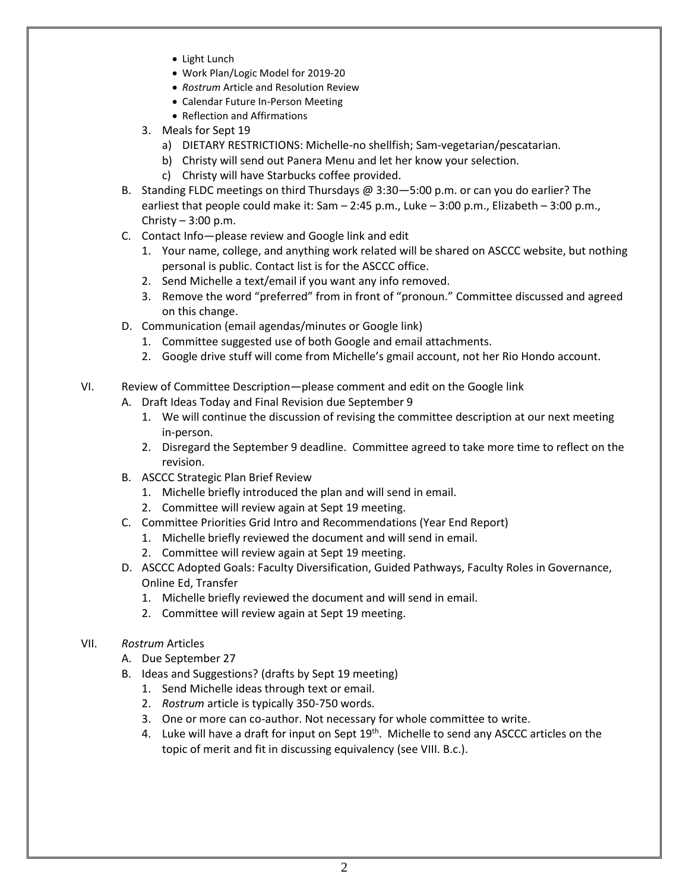- Light Lunch
- Work Plan/Logic Model for 2019-20
- *Rostrum* Article and Resolution Review
- Calendar Future In-Person Meeting
- Reflection and Affirmations
- 3. Meals for Sept 19
	- a) DIETARY RESTRICTIONS: Michelle-no shellfish; Sam-vegetarian/pescatarian.
	- b) Christy will send out Panera Menu and let her know your selection.
	- c) Christy will have Starbucks coffee provided.
- B. Standing FLDC meetings on third Thursdays @ 3:30—5:00 p.m. or can you do earlier? The earliest that people could make it: Sam – 2:45 p.m., Luke – 3:00 p.m., Elizabeth – 3:00 p.m., Christy  $-3:00$  p.m.
- C. Contact Info—please review and Google link and edit
	- 1. Your name, college, and anything work related will be shared on ASCCC website, but nothing personal is public. Contact list is for the ASCCC office.
	- 2. Send Michelle a text/email if you want any info removed.
	- 3. Remove the word "preferred" from in front of "pronoun." Committee discussed and agreed on this change.
- D. Communication (email agendas/minutes or Google link)
	- 1. Committee suggested use of both Google and email attachments.
	- 2. Google drive stuff will come from Michelle's gmail account, not her Rio Hondo account.
- VI. Review of Committee Description—please comment and edit on the Google link
	- A. Draft Ideas Today and Final Revision due September 9
		- 1. We will continue the discussion of revising the committee description at our next meeting in-person.
		- 2. Disregard the September 9 deadline. Committee agreed to take more time to reflect on the revision.
	- B. ASCCC Strategic Plan Brief Review
		- 1. Michelle briefly introduced the plan and will send in email.
		- 2. Committee will review again at Sept 19 meeting.
	- C. Committee Priorities Grid Intro and Recommendations (Year End Report)
		- 1. Michelle briefly reviewed the document and will send in email.
		- 2. Committee will review again at Sept 19 meeting.
	- D. ASCCC Adopted Goals: Faculty Diversification, Guided Pathways, Faculty Roles in Governance, Online Ed, Transfer
		- 1. Michelle briefly reviewed the document and will send in email.
		- 2. Committee will review again at Sept 19 meeting.
- VII. *Rostrum* Articles
	- A. Due September 27
	- B. Ideas and Suggestions? (drafts by Sept 19 meeting)
		- 1. Send Michelle ideas through text or email.
		- 2. *Rostrum* article is typically 350-750 words.
		- 3. One or more can co-author. Not necessary for whole committee to write.
		- 4. Luke will have a draft for input on Sept 19<sup>th</sup>. Michelle to send any ASCCC articles on the topic of merit and fit in discussing equivalency (see VIII. B.c.).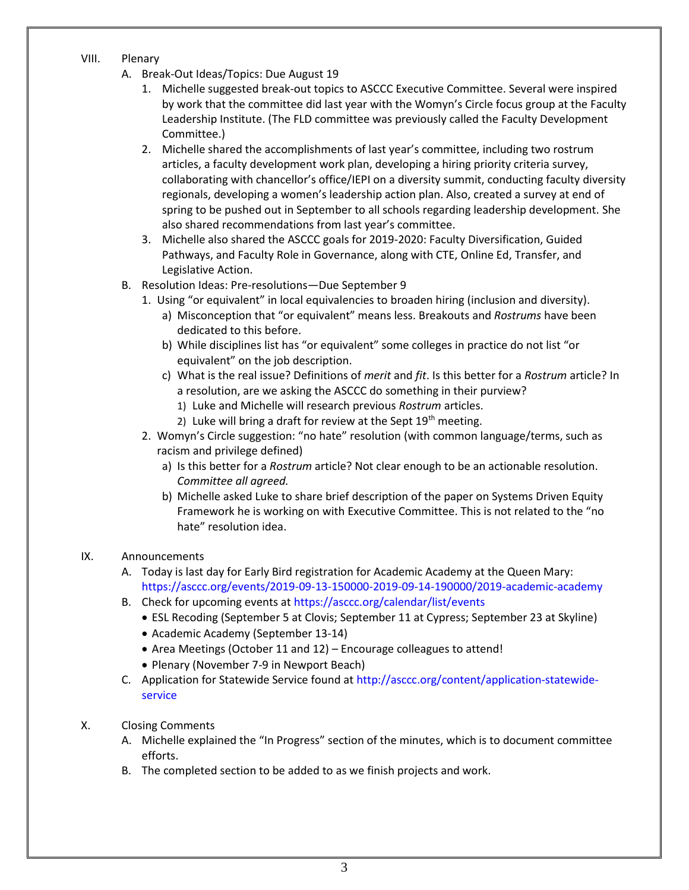- VIII. Plenary
	- A. Break-Out Ideas/Topics: Due August 19
		- 1. Michelle suggested break-out topics to ASCCC Executive Committee. Several were inspired by work that the committee did last year with the Womyn's Circle focus group at the Faculty Leadership Institute. (The FLD committee was previously called the Faculty Development Committee.)
		- 2. Michelle shared the accomplishments of last year's committee, including two rostrum articles, a faculty development work plan, developing a hiring priority criteria survey, collaborating with chancellor's office/IEPI on a diversity summit, conducting faculty diversity regionals, developing a women's leadership action plan. Also, created a survey at end of spring to be pushed out in September to all schools regarding leadership development. She also shared recommendations from last year's committee.
		- 3. Michelle also shared the ASCCC goals for 2019-2020: Faculty Diversification, Guided Pathways, and Faculty Role in Governance, along with CTE, Online Ed, Transfer, and Legislative Action.
	- B. Resolution Ideas: Pre-resolutions—Due September 9
		- 1. Using "or equivalent" in local equivalencies to broaden hiring (inclusion and diversity).
			- a) Misconception that "or equivalent" means less. Breakouts and *Rostrums* have been dedicated to this before.
			- b) While disciplines list has "or equivalent" some colleges in practice do not list "or equivalent" on the job description.
			- c) What is the real issue? Definitions of *merit* and *fit*. Is this better for a *Rostrum* article? In a resolution, are we asking the ASCCC do something in their purview?
				- 1) Luke and Michelle will research previous *Rostrum* articles.
				- 2) Luke will bring a draft for review at the Sept  $19<sup>th</sup>$  meeting.
		- 2. Womyn's Circle suggestion: "no hate" resolution (with common language/terms, such as racism and privilege defined)
			- a) Is this better for a *Rostrum* article? Not clear enough to be an actionable resolution. *Committee all agreed.*
			- b) Michelle asked Luke to share brief description of the paper on Systems Driven Equity Framework he is working on with Executive Committee. This is not related to the "no hate" resolution idea.

#### IX. Announcements

- A. Today is last day for Early Bird registration for Academic Academy at the Queen Mary: <https://asccc.org/events/2019-09-13-150000-2019-09-14-190000/2019-academic-academy>
- B. Check for upcoming events at<https://asccc.org/calendar/list/events>
	- ESL Recoding (September 5 at Clovis; September 11 at Cypress; September 23 at Skyline)
	- Academic Academy (September 13-14)
	- Area Meetings (October 11 and 12) Encourage colleagues to attend!
	- Plenary (November 7-9 in Newport Beach)
- C. Application for Statewide Service found at [http://asccc.org/content/application-statewide](http://asccc.org/content/application-statewide-service)[service](http://asccc.org/content/application-statewide-service)
- X. Closing Comments
	- A. Michelle explained the "In Progress" section of the minutes, which is to document committee efforts.
	- B. The completed section to be added to as we finish projects and work.